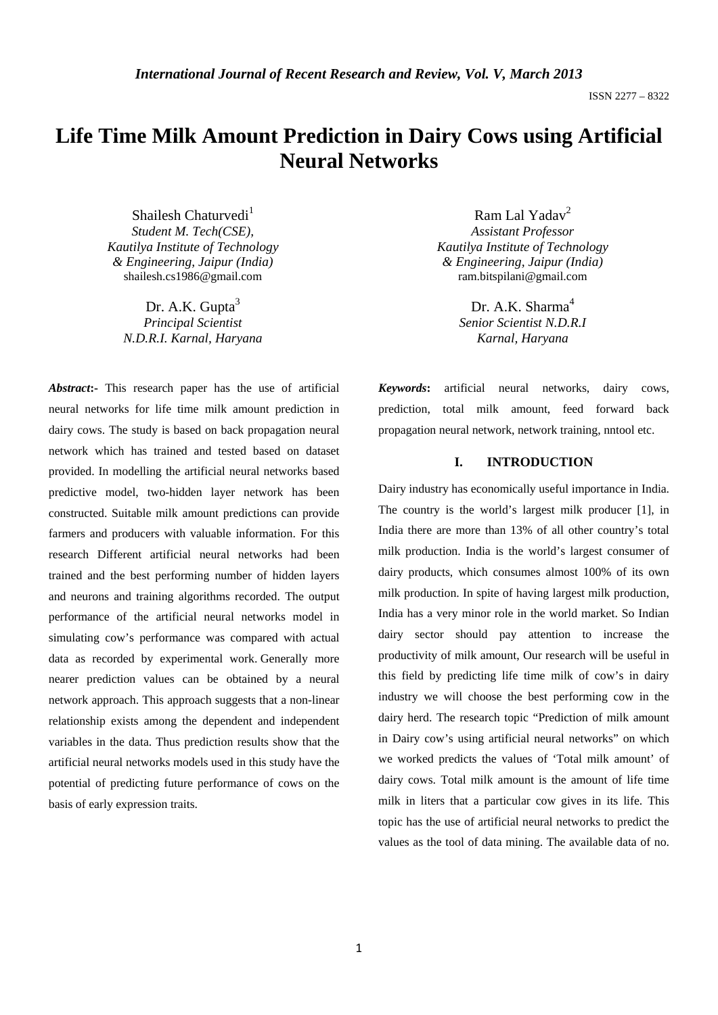# **Life Time Milk Amount Prediction in Dairy Cows using Artificial Neural Networks**

Shailesh Chaturvedi<sup>1</sup> *Student M. Tech(CSE), Kautilya Institute of Technology & Engineering, Jaipur (India)*  shailesh.cs1986@gmail.com

Dr. A.K. Gupta $3$ *Principal Scientist N.D.R.I. Karnal, Haryana* 

*Abstract***:-** This research paper has the use of artificial neural networks for life time milk amount prediction in dairy cows. The study is based on back propagation neural network which has trained and tested based on dataset provided. In modelling the artificial neural networks based predictive model, two-hidden layer network has been constructed. Suitable milk amount predictions can provide farmers and producers with valuable information. For this research Different artificial neural networks had been trained and the best performing number of hidden layers and neurons and training algorithms recorded. The output performance of the artificial neural networks model in simulating cow's performance was compared with actual data as recorded by experimental work. Generally more nearer prediction values can be obtained by a neural network approach. This approach suggests that a non-linear relationship exists among the dependent and independent variables in the data. Thus prediction results show that the artificial neural networks models used in this study have the potential of predicting future performance of cows on the basis of early expression traits.

Ram Lal Yadav<sup>2</sup> *Assistant Professor Kautilya Institute of Technology & Engineering, Jaipur (India)*  ram.bitspilani@gmail.com

> Dr. A.K. Sharma<sup>4</sup> *Senior Scientist N.D.R.I Karnal, Haryana*

*Keywords***:** artificial neural networks, dairy cows, prediction, total milk amount, feed forward back propagation neural network, network training, nntool etc.

### **I. INTRODUCTION**

Dairy industry has economically useful importance in India. The country is the world's largest milk producer [1], in India there are more than 13% of all other country's total milk production. India is the world's largest consumer of dairy products, which consumes almost 100% of its own milk production. In spite of having largest milk production, India has a very minor role in the world market. So Indian dairy sector should pay attention to increase the productivity of milk amount, Our research will be useful in this field by predicting life time milk of cow's in dairy industry we will choose the best performing cow in the dairy herd. The research topic "Prediction of milk amount in Dairy cow's using artificial neural networks" on which we worked predicts the values of 'Total milk amount' of dairy cows. Total milk amount is the amount of life time milk in liters that a particular cow gives in its life. This topic has the use of artificial neural networks to predict the values as the tool of data mining. The available data of no.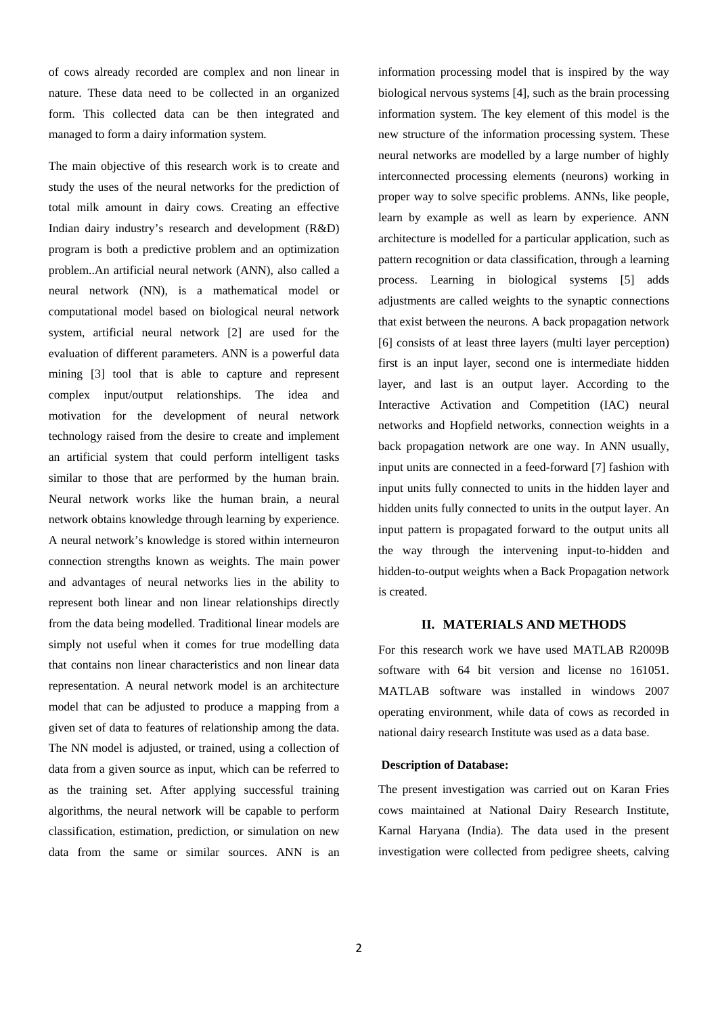of cows already recorded are complex and non linear in nature. These data need to be collected in an organized form. This collected data can be then integrated and managed to form a dairy information system.

The main objective of this research work is to create and study the uses of the neural networks for the prediction of total milk amount in dairy cows. Creating an effective Indian dairy industry's research and development (R&D) program is both a predictive problem and an optimization problem..An artificial neural network (ANN), also called a neural network (NN), is a mathematical model or computational model based on biological neural network system, artificial neural network [2] are used for the evaluation of different parameters. ANN is a powerful data mining [3] tool that is able to capture and represent complex input/output relationships. The idea and motivation for the development of neural network technology raised from the desire to create and implement an artificial system that could perform intelligent tasks similar to those that are performed by the human brain. Neural network works like the human brain, a neural network obtains knowledge through learning by experience. A neural network's knowledge is stored within interneuron connection strengths known as weights. The main power and advantages of neural networks lies in the ability to represent both linear and non linear relationships directly from the data being modelled. Traditional linear models are simply not useful when it comes for true modelling data that contains non linear characteristics and non linear data representation. A neural network model is an architecture model that can be adjusted to produce a mapping from a given set of data to features of relationship among the data. The NN model is adjusted, or trained, using a collection of data from a given source as input, which can be referred to as the training set. After applying successful training algorithms, the neural network will be capable to perform classification, estimation, prediction, or simulation on new data from the same or similar sources. ANN is an

information processing model that is inspired by the way biological nervous systems [4], such as the brain processing information system. The key element of this model is the new structure of the information processing system. These neural networks are modelled by a large number of highly interconnected processing elements (neurons) working in proper way to solve specific problems. ANNs, like people, learn by example as well as learn by experience. ANN architecture is modelled for a particular application, such as pattern recognition or data classification, through a learning process. Learning in biological systems [5] adds adjustments are called weights to the synaptic connections that exist between the neurons. A back propagation network [6] consists of at least three layers (multi layer perception) first is an input layer, second one is intermediate hidden layer, and last is an output layer. According to the Interactive Activation and Competition (IAC) neural networks and Hopfield networks, connection weights in a back propagation network are one way. In ANN usually, input units are connected in a feed-forward [7] fashion with input units fully connected to units in the hidden layer and hidden units fully connected to units in the output layer. An input pattern is propagated forward to the output units all the way through the intervening input-to-hidden and hidden-to-output weights when a Back Propagation network is created.

### **II. MATERIALS AND METHODS**

For this research work we have used MATLAB R2009B software with 64 bit version and license no 161051. MATLAB software was installed in windows 2007 operating environment, while data of cows as recorded in national dairy research Institute was used as a data base.

### **Description of Database:**

The present investigation was carried out on Karan Fries cows maintained at National Dairy Research Institute, Karnal Haryana (India). The data used in the present investigation were collected from pedigree sheets, calving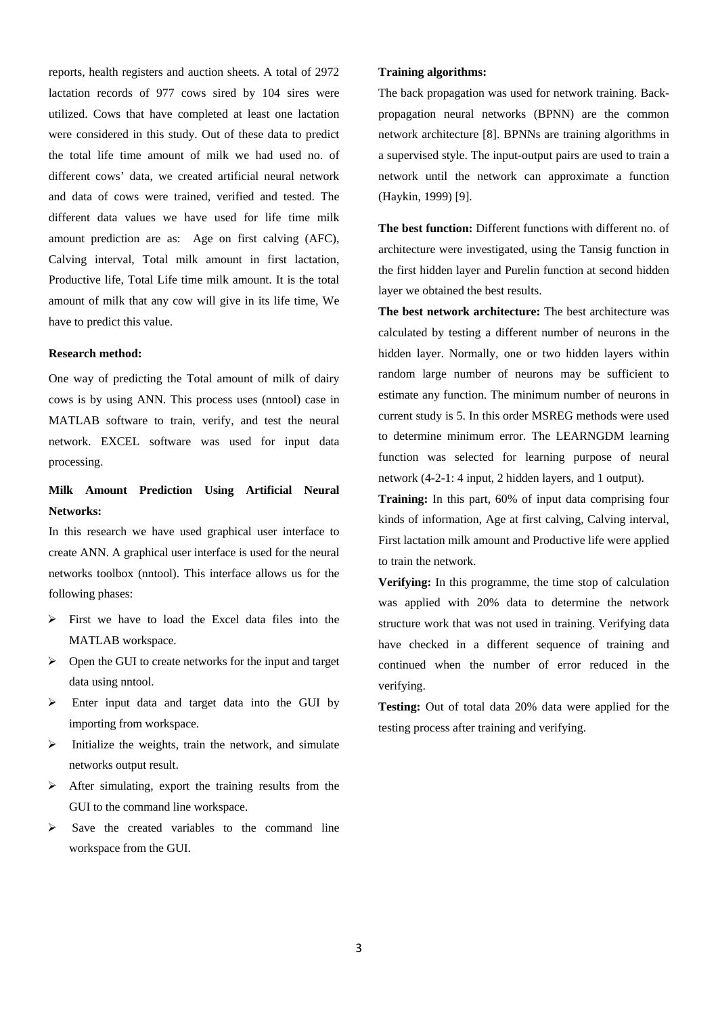reports, health registers and auction sheets. A total of 2972 lactation records of 977 cows sired by 104 sires were utilized. Cows that have completed at least one lactation were considered in this study. Out of these data to predict the total life time amount of milk we had used no. of different cows' data, we created artificial neural network and data of cows were trained, verified and tested. The different data values we have used for life time milk amount prediction are as: Age on first calving (AFC), Calving interval, Total milk amount in first lactation, Productive life, Total Life time milk amount. It is the total amount of milk that any cow will give in its life time, We have to predict this value.

### **Research method:**

One way of predicting the Total amount of milk of dairy cows is by using ANN. This process uses (nntool) case in MATLAB software to train, verify, and test the neural network. EXCEL software was used for input data processing.

# **Milk Amount Prediction Using Artificial Neural Networks:**

In this research we have used graphical user interface to create ANN. A graphical user interface is used for the neural networks toolbox (nntool). This interface allows us for the following phases:

- $\triangleright$  First we have to load the Excel data files into the MATLAB workspace.
- $\triangleright$  Open the GUI to create networks for the input and target data using nntool.
- $\triangleright$  Enter input data and target data into the GUI by importing from workspace.
- $\triangleright$  Initialize the weights, train the network, and simulate networks output result.
- $\triangleright$  After simulating, export the training results from the GUI to the command line workspace.
- $\triangleright$  Save the created variables to the command line workspace from the GUI.

### **Training algorithms:**

The back propagation was used for network training. Backpropagation neural networks (BPNN) are the common network architecture [8]. BPNNs are training algorithms in a supervised style. The input-output pairs are used to train a network until the network can approximate a function (Haykin, 1999) [9].

**The best function:** Different functions with different no. of architecture were investigated, using the Tansig function in the first hidden layer and Purelin function at second hidden layer we obtained the best results.

**The best network architecture:** The best architecture was calculated by testing a different number of neurons in the hidden layer. Normally, one or two hidden layers within random large number of neurons may be sufficient to estimate any function. The minimum number of neurons in current study is 5. In this order MSREG methods were used to determine minimum error. The LEARNGDM learning function was selected for learning purpose of neural network (4-2-1: 4 input, 2 hidden layers, and 1 output).

**Training:** In this part, 60% of input data comprising four kinds of information, Age at first calving, Calving interval, First lactation milk amount and Productive life were applied to train the network.

**Verifying:** In this programme, the time stop of calculation was applied with 20% data to determine the network structure work that was not used in training. Verifying data have checked in a different sequence of training and continued when the number of error reduced in the verifying.

**Testing:** Out of total data 20% data were applied for the testing process after training and verifying.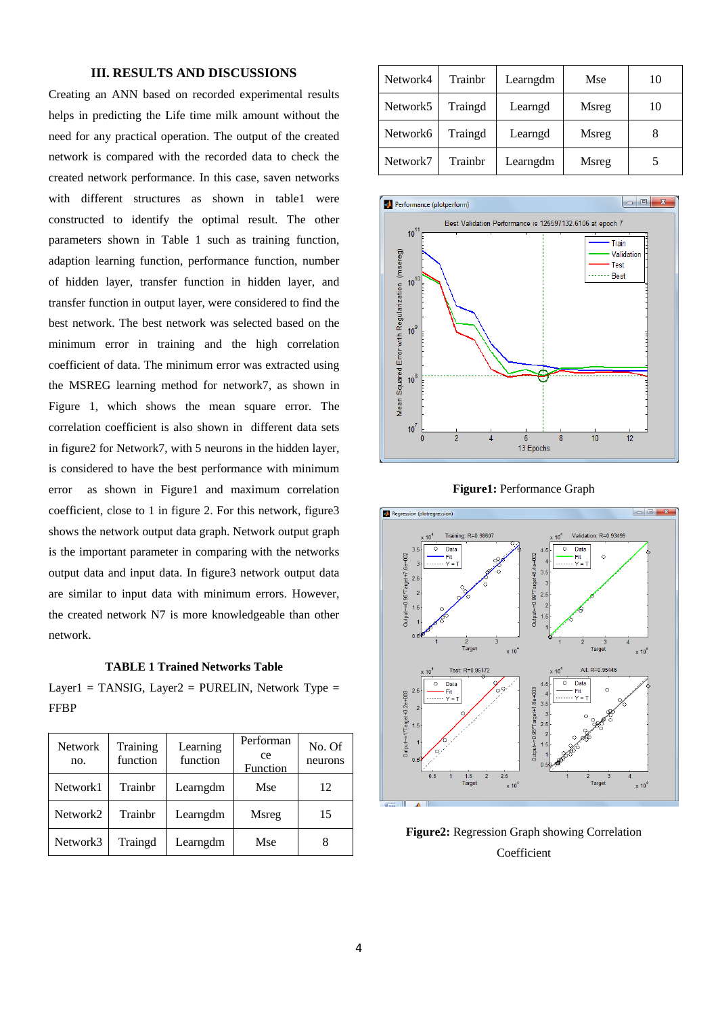## **III. RESULTS AND DISCUSSIONS**

Creating an ANN based on recorded experimental results helps in predicting the Life time milk amount without the need for any practical operation. The output of the created network is compared with the recorded data to check the created network performance. In this case, saven networks with different structures as shown in table1 were constructed to identify the optimal result. The other parameters shown in Table 1 such as training function, adaption learning function, performance function, number of hidden layer, transfer function in hidden layer, and transfer function in output layer, were considered to find the best network. The best network was selected based on the minimum error in training and the high correlation coefficient of data. The minimum error was extracted using the MSREG learning method for network7, as shown in Figure 1, which shows the mean square error. The correlation coefficient is also shown in different data sets in figure2 for Network7, with 5 neurons in the hidden layer, is considered to have the best performance with minimum error as shown in Figure1 and maximum correlation coefficient, close to 1 in figure 2. For this network, figure3 shows the network output data graph. Network output graph is the important parameter in comparing with the networks output data and input data. In figure3 network output data are similar to input data with minimum errors. However, the created network N7 is more knowledgeable than other network.

**TABLE 1 Trained Networks Table** 

Layer1 = TANSIG, Layer2 = PURELIN, Network Type = FFBP

| <b>Network</b><br>no. | Training<br>function | Learning<br>function | Performan<br>ce<br>Function | No. Of<br>neurons |
|-----------------------|----------------------|----------------------|-----------------------------|-------------------|
| Network1              | Trainbr              | Learngdm             | Mse                         | 12                |
| Network2              | Trainhr              | Learngdm             | Msreg                       | 15                |
| Network3              | Traingd              | Learngdm             | Mse                         |                   |

| Network4 | Trainhr | Learngdm | Mse   | 10 |
|----------|---------|----------|-------|----|
| Network5 | Traingd | Learngd  | Msreg | 10 |
| Network6 | Traingd | Learngd  | Msreg |    |
| Network7 | Trainbr | Learngdm | Msreg |    |







**Figure2:** Regression Graph showing Correlation Coefficient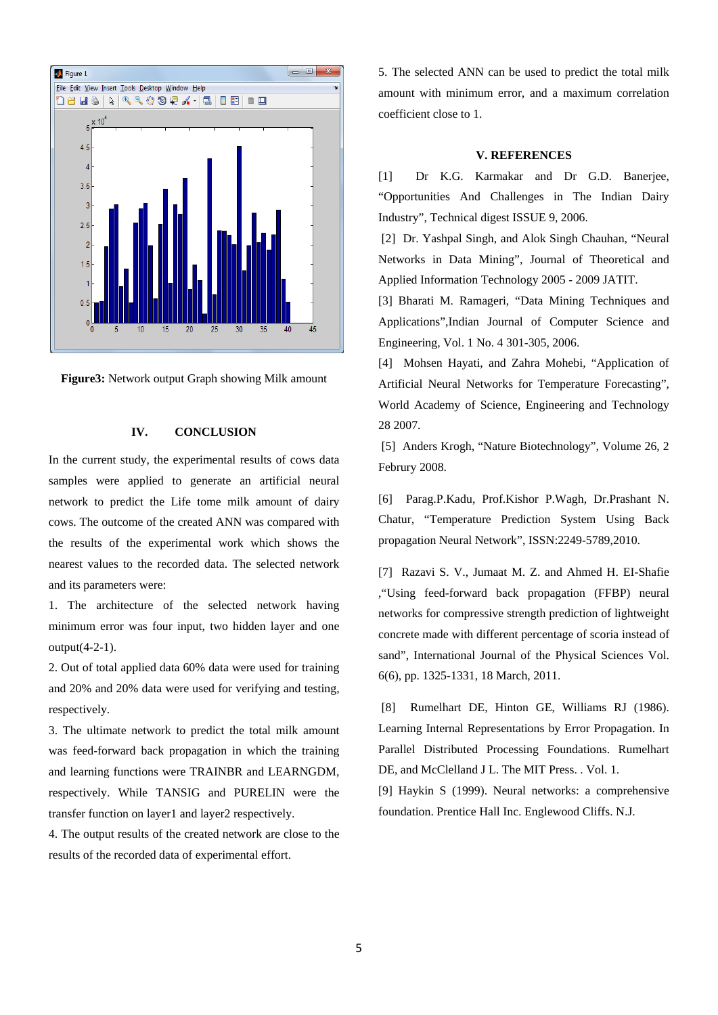



### **IV. CONCLUSION**

In the current study, the experimental results of cows data samples were applied to generate an artificial neural network to predict the Life tome milk amount of dairy cows. The outcome of the created ANN was compared with the results of the experimental work which shows the nearest values to the recorded data. The selected network and its parameters were:

1. The architecture of the selected network having minimum error was four input, two hidden layer and one output(4-2-1).

2. Out of total applied data 60% data were used for training and 20% and 20% data were used for verifying and testing, respectively.

3. The ultimate network to predict the total milk amount was feed-forward back propagation in which the training and learning functions were TRAINBR and LEARNGDM, respectively. While TANSIG and PURELIN were the transfer function on layer1 and layer2 respectively.

4. The output results of the created network are close to the results of the recorded data of experimental effort.

5. The selected ANN can be used to predict the total milk amount with minimum error, and a maximum correlation coefficient close to 1.

#### **V. REFERENCES**

[1] Dr K.G. Karmakar and Dr G.D. Baneriee, "Opportunities And Challenges in The Indian Dairy Industry", Technical digest ISSUE 9, 2006.

 [2] Dr. Yashpal Singh, and Alok Singh Chauhan, "Neural Networks in Data Mining", Journal of Theoretical and Applied Information Technology 2005 - 2009 JATIT.

[3] Bharati M. Ramageri, "Data Mining Techniques and Applications",Indian Journal of Computer Science and Engineering, Vol. 1 No. 4 301-305, 2006.

[4] Mohsen Hayati, and Zahra Mohebi, "Application of Artificial Neural Networks for Temperature Forecasting", World Academy of Science, Engineering and Technology 28 2007.

 [5] Anders Krogh, "Nature Biotechnology", Volume 26, 2 Februry 2008.

[6] Parag.P.Kadu, Prof.Kishor P.Wagh, Dr.Prashant N. Chatur, "Temperature Prediction System Using Back propagation Neural Network", ISSN:2249-5789,2010.

[7] Razavi S. V., Jumaat M. Z. and Ahmed H. EI-Shafie ,"Using feed-forward back propagation (FFBP) neural networks for compressive strength prediction of lightweight concrete made with different percentage of scoria instead of sand", International Journal of the Physical Sciences Vol. 6(6), pp. 1325-1331, 18 March, 2011.

 [8] Rumelhart DE, Hinton GE, Williams RJ (1986). Learning Internal Representations by Error Propagation. In Parallel Distributed Processing Foundations. Rumelhart DE, and McClelland J L. The MIT Press. . Vol. 1.

[9] Haykin S (1999). Neural networks: a comprehensive foundation. Prentice Hall Inc. Englewood Cliffs. N.J.